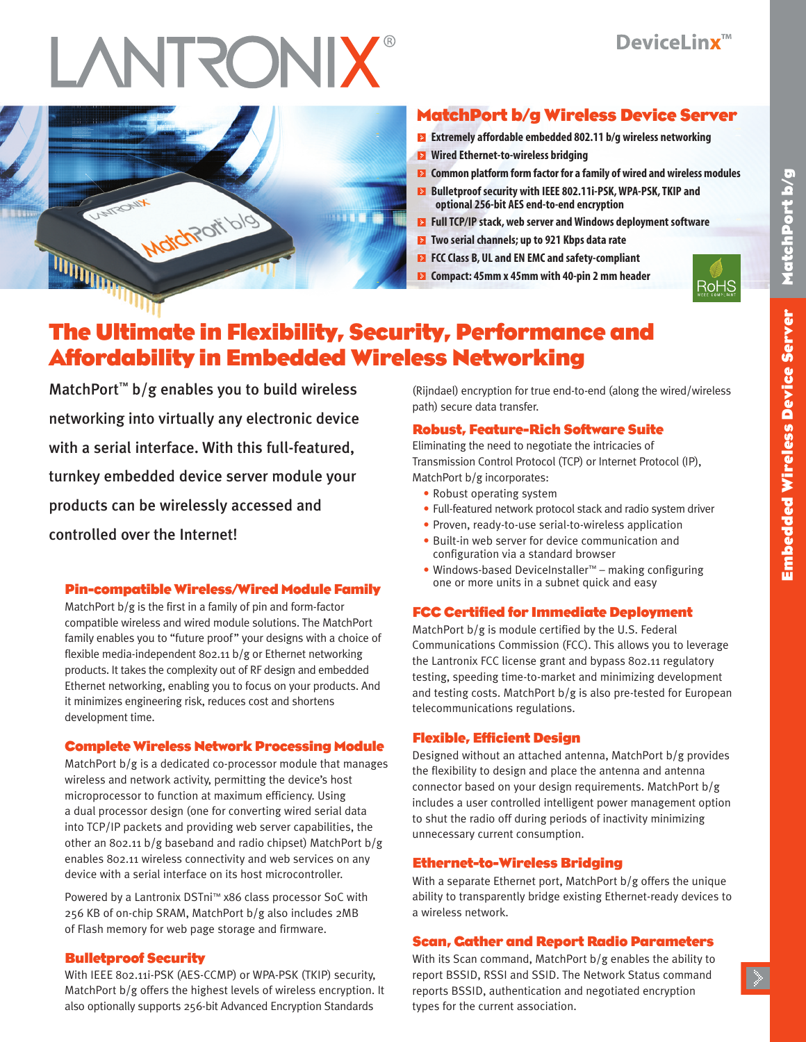# **INTRONIX®**



# **MatchPort b/g Wireless Device Server**

- **Extremely affordable embedded 802.11 b/g wireless networking**
- **Wired Ethernet-to-wireless bridging**
- **E** Common platform form factor for a family of wired and wireless modules
- **Bulletproof security with IEEE 802.11i-PSK,WPA-PSK,TKIP and optional 256-bit AES end-to-end encryption**
- **FullTCP/IP stack,web server andWindows deployment software**
- **Two serial channels; up to 921 Kbps data rate**
- **FCCClass B, UL and EN EMC and safety-compliant**
- **Compact: 45mm x 45mm with 40-pin 2 mm header**



# **The Ultimate in Flexibility, Security, Performance and Affordability in Embedded Wireless Networking**

MatchPort<sup>™</sup> b/g enables you to build wireless networking into virtually any electronic device with a serial interface. With this full-featured, turnkey embedded device server module your products can be wirelessly accessed and controlled over the Internet!

### **Pin-compatible Wireless/Wired Module Family**

MatchPort b/g is the first in a family of pin and form-factor compatible wireless and wired module solutions. The MatchPort family enables you to "future proof" your designs with a choice of flexible media-independent 802.11 b/g or Ethernet networking products. It takes the complexity out of RF design and embedded Ethernet networking, enabling you to focus on your products. And it minimizes engineering risk, reduces cost and shortens development time.

# **Complete Wireless Network Processing Module**

MatchPort b/g is a dedicated co-processor module that manages wireless and network activity, permitting the device's host microprocessor to function at maximum efficiency. Using a dual processor design (one for converting wired serial data into TCP/IP packets and providing web server capabilities, the other an 802.11 b/g baseband and radio chipset) MatchPort b/g enables 802.11 wireless connectivity and web services on any device with a serial interface on its host microcontroller.

Powered by a Lantronix DSTni™ x86 class processor SoC with 256 KB of on-chip SRAM, MatchPort b/g also includes 2MB of Flash memory for web page storage and firmware.

# **Bulletproof Security**

With IEEE 802.11i-PSK (AES-CCMP) or WPA-PSK (TKIP) security, MatchPort b/g offers the highest levels of wireless encryption. It also optionally supports 256-bit Advanced Encryption Standards

(Rijndael) encryption for true end-to-end (along the wired/wireless path) secure data transfer.

# **Robust, Feature-Rich Software Suite**

Eliminating the need to negotiate the intricacies of Transmission Control Protocol (TCP) or Internet Protocol (IP), MatchPort b/g incorporates:

- Robust operating system
- Full-featured network protocol stack and radio system driver
- Proven, ready-to-use serial-to-wireless application
- Built-in web server for device communication and configuration via a standard browser
- Windows-based DeviceInstaller™ making configuring one or more units in a subnet quick and easy

# **FCC Certified for Immediate Deployment**

MatchPort b/g is module certified by the U.S. Federal Communications Commission (FCC). This allows you to leverage the Lantronix FCC license grant and bypass 802.11 regulatory testing, speeding time-to-market and minimizing development and testing costs. MatchPort b/g is also pre-tested for European telecommunications regulations.

# **Flexible, Efficient Design**

Designed without an attached antenna, MatchPort b/g provides the flexibility to design and place the antenna and antenna connector based on your design requirements. MatchPort b/g includes a user controlled intelligent power management option to shut the radio off during periods of inactivity minimizing unnecessary current consumption.

# **Ethernet-to-Wireless Bridging**

With a separate Ethernet port, MatchPort b/g offers the unique ability to transparently bridge existing Ethernet-ready devices to a wireless network.

# **Scan, Gather and Report Radio Parameters**

With its Scan command, MatchPort b/g enables the ability to report BSSID, RSSI and SSID. The Network Status command reports BSSID, authentication and negotiated encryption types for the current association.

**b / g**